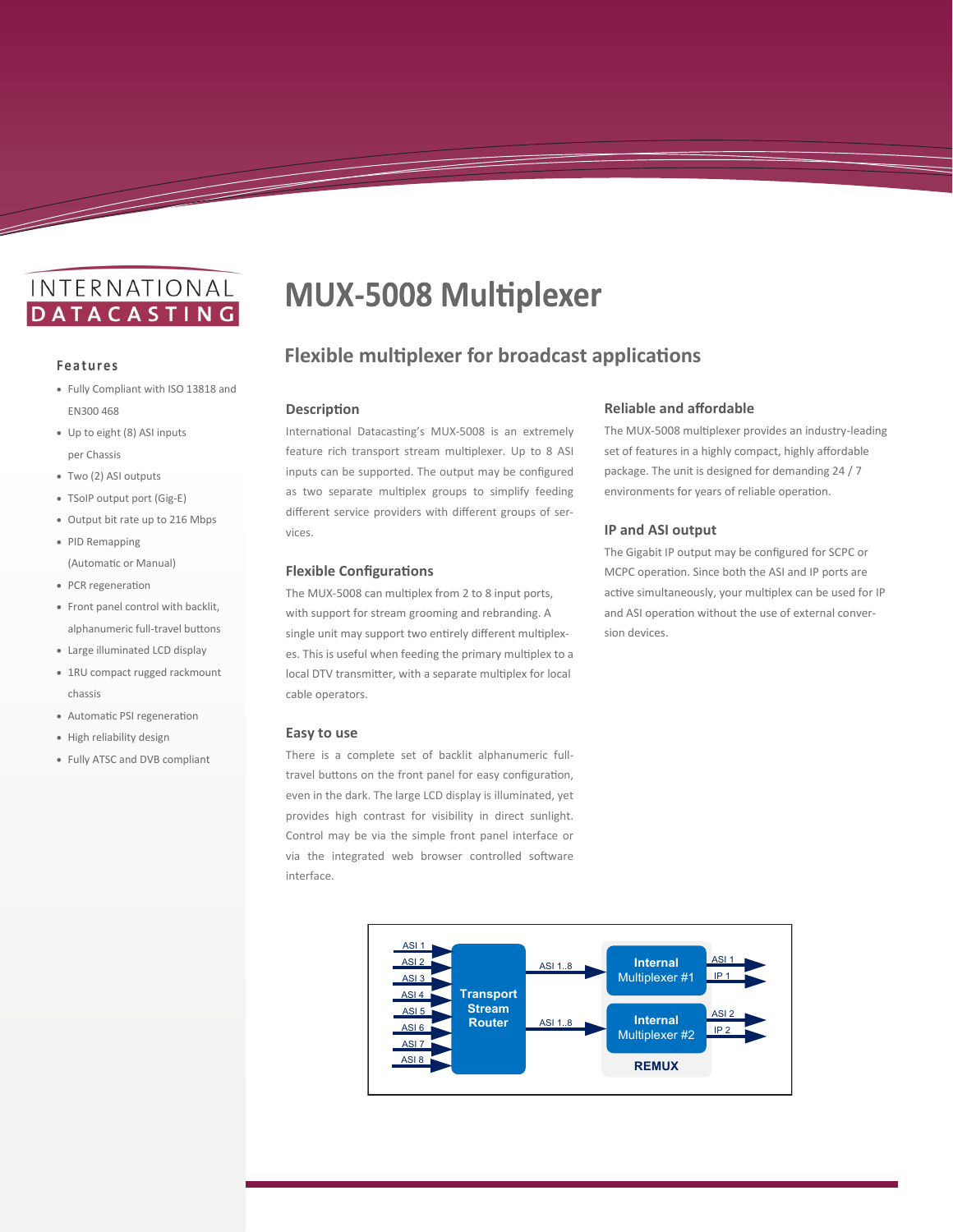## INTERNATIONAL **DATACASTING**

#### **Features**

<u>and a shekarar ta 1999 da ga shekarar ta 1999 da ga shekarar ta 1999 da ga shekarar ta 1999 da ga shekarar t</u>

- Fully Compliant with ISO 13818 and EN300 468
- Up to eight (8) ASI inputs per Chassis
- Two (2) ASI outputs
- TSoIP output port (Gig-E)
- Output bit rate up to 216 Mbps
- PID Remapping (Automatic or Manual)
- PCR regeneration
- Front panel control with backlit, alphanumeric full-travel buttons
- Large illuminated LCD display
- 1RU compact rugged rackmount chassis
- Automatic PSI regeneration
- High reliability design
- Fully ATSC and DVB compliant

# **MUX-5008 Multiplexer**

### **Flexible multiplexer for broadcast applications**

#### **Description**

International Datacasting's MUX-5008 is an extremely feature rich transport stream multiplexer. Up to 8 ASI inputs can be supported. The output may be configured as two separate multiplex groups to simplify feeding different service providers with different groups of services.

#### **Flexible Configurations**

The MUX-5008 can multiplex from 2 to 8 input ports, with support for stream grooming and rebranding. A single unit may support two entirely different multiplexes. This is useful when feeding the primary multiplex to a local DTV transmitter, with a separate multiplex for local cable operators.

#### **Easy to use**

There is a complete set of backlit alphanumeric fulltravel buttons on the front panel for easy configuration, even in the dark. The large LCD display is illuminated, yet provides high contrast for visibility in direct sunlight. Control may be via the simple front panel interface or via the integrated web browser controlled software interface.



#### **Reliable and affordable**

The MUX-5008 multiplexer provides an industry-leading set of features in a highly compact, highly affordable package. The unit is designed for demanding 24 / 7 environments for years of reliable operation.

#### **IP and ASI output**

The Gigabit IP output may be configured for SCPC or MCPC operation. Since both the ASI and IP ports are active simultaneously, your multiplex can be used for IP and ASI operation without the use of external conversion devices.